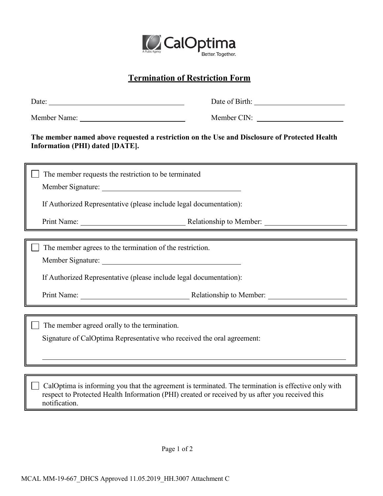

## **Termination of Restriction Form**

| Date: $\frac{1}{\sqrt{1-\frac{1}{2}}\left(\frac{1}{2}-\frac{1}{2}\right)}$                                                                                                                                              | Date of Birth: New York 1988                                                                                                                                  |
|-------------------------------------------------------------------------------------------------------------------------------------------------------------------------------------------------------------------------|---------------------------------------------------------------------------------------------------------------------------------------------------------------|
|                                                                                                                                                                                                                         | Member CIN:                                                                                                                                                   |
| The member named above requested a restriction on the Use and Disclosure of Protected Health<br>Information (PHI) dated [DATE].                                                                                         |                                                                                                                                                               |
| The member requests the restriction to be terminated                                                                                                                                                                    |                                                                                                                                                               |
|                                                                                                                                                                                                                         |                                                                                                                                                               |
| If Authorized Representative (please include legal documentation):                                                                                                                                                      |                                                                                                                                                               |
|                                                                                                                                                                                                                         | Print Name: <u>Nelationship</u> to Member:                                                                                                                    |
|                                                                                                                                                                                                                         |                                                                                                                                                               |
| The member agrees to the termination of the restriction.                                                                                                                                                                |                                                                                                                                                               |
|                                                                                                                                                                                                                         |                                                                                                                                                               |
| If Authorized Representative (please include legal documentation):                                                                                                                                                      |                                                                                                                                                               |
|                                                                                                                                                                                                                         | Print Name: Relationship to Member:<br><u> 1989 - Johann Stoff, deutscher Stoffen und der Stoffen und der Stoffen und der Stoffen und der Stoffen und der</u> |
| The member agreed orally to the termination.                                                                                                                                                                            |                                                                                                                                                               |
| Signature of CalOptima Representative who received the oral agreement:                                                                                                                                                  |                                                                                                                                                               |
|                                                                                                                                                                                                                         |                                                                                                                                                               |
|                                                                                                                                                                                                                         |                                                                                                                                                               |
| CalOptima is informing you that the agreement is terminated. The termination is effective only with<br>respect to Protected Health Information (PHI) created or received by us after you received this<br>notification. |                                                                                                                                                               |
|                                                                                                                                                                                                                         |                                                                                                                                                               |